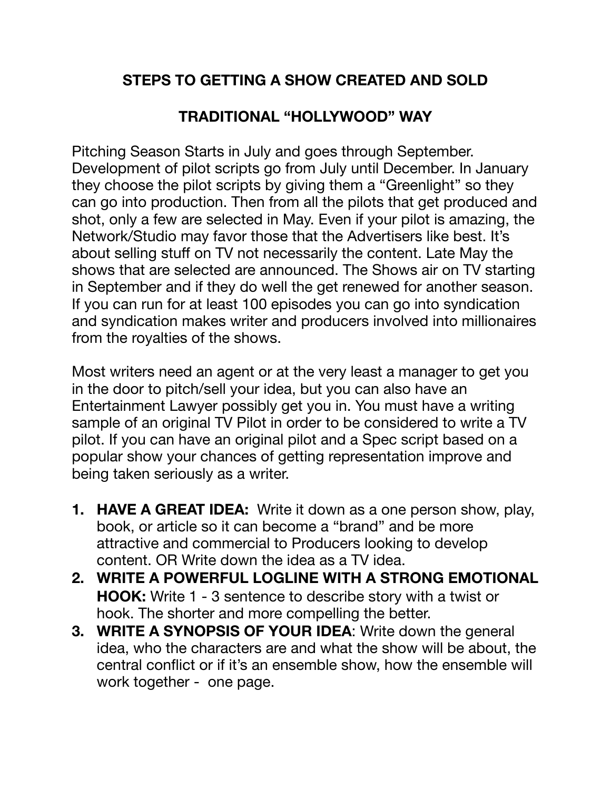## **STEPS TO GETTING A SHOW CREATED AND SOLD**

## **TRADITIONAL "HOLLYWOOD" WAY**

Pitching Season Starts in July and goes through September. Development of pilot scripts go from July until December. In January they choose the pilot scripts by giving them a "Greenlight" so they can go into production. Then from all the pilots that get produced and shot, only a few are selected in May. Even if your pilot is amazing, the Network/Studio may favor those that the Advertisers like best. It's about selling stuff on TV not necessarily the content. Late May the shows that are selected are announced. The Shows air on TV starting in September and if they do well the get renewed for another season. If you can run for at least 100 episodes you can go into syndication and syndication makes writer and producers involved into millionaires from the royalties of the shows.

Most writers need an agent or at the very least a manager to get you in the door to pitch/sell your idea, but you can also have an Entertainment Lawyer possibly get you in. You must have a writing sample of an original TV Pilot in order to be considered to write a TV pilot. If you can have an original pilot and a Spec script based on a popular show your chances of getting representation improve and being taken seriously as a writer.

- **1. HAVE A GREAT IDEA:** Write it down as a one person show, play, book, or article so it can become a "brand" and be more attractive and commercial to Producers looking to develop content. OR Write down the idea as a TV idea.
- **2. WRITE A POWERFUL LOGLINE WITH A STRONG EMOTIONAL HOOK:** Write 1 - 3 sentence to describe story with a twist or hook. The shorter and more compelling the better.
- **3. WRITE A SYNOPSIS OF YOUR IDEA**: Write down the general idea, who the characters are and what the show will be about, the central conflict or if it's an ensemble show, how the ensemble will work together - one page.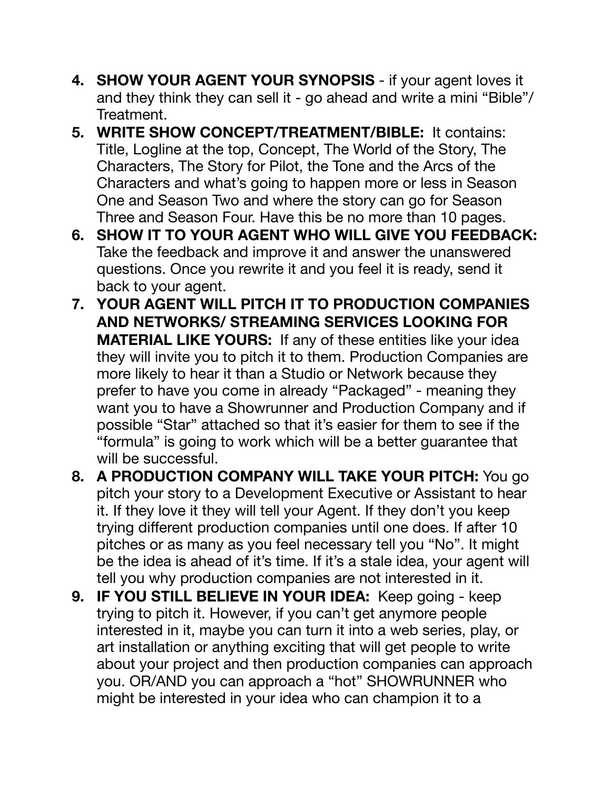- **4. SHOW YOUR AGENT YOUR SYNOPSIS** if your agent loves it and they think they can sell it - go ahead and write a mini "Bible"/ Treatment.
- **5. WRITE SHOW CONCEPT/TREATMENT/BIBLE:** It contains: Title, Logline at the top, Concept, The World of the Story, The Characters, The Story for Pilot, the Tone and the Arcs of the Characters and what's going to happen more or less in Season One and Season Two and where the story can go for Season Three and Season Four. Have this be no more than 10 pages.
- **6. SHOW IT TO YOUR AGENT WHO WILL GIVE YOU FEEDBACK:**  Take the feedback and improve it and answer the unanswered questions. Once you rewrite it and you feel it is ready, send it back to your agent.
- **7. YOUR AGENT WILL PITCH IT TO PRODUCTION COMPANIES AND NETWORKS/ STREAMING SERVICES LOOKING FOR MATERIAL LIKE YOURS:** If any of these entities like your idea they will invite you to pitch it to them. Production Companies are more likely to hear it than a Studio or Network because they prefer to have you come in already "Packaged" - meaning they want you to have a Showrunner and Production Company and if possible "Star" attached so that it's easier for them to see if the "formula" is going to work which will be a better guarantee that will be successful.
- **8. A PRODUCTION COMPANY WILL TAKE YOUR PITCH:** You go pitch your story to a Development Executive or Assistant to hear it. If they love it they will tell your Agent. If they don't you keep trying different production companies until one does. If after 10 pitches or as many as you feel necessary tell you "No". It might be the idea is ahead of it's time. If it's a stale idea, your agent will tell you why production companies are not interested in it.
- **9. IF YOU STILL BELIEVE IN YOUR IDEA:** Keep going keep trying to pitch it. However, if you can't get anymore people interested in it, maybe you can turn it into a web series, play, or art installation or anything exciting that will get people to write about your project and then production companies can approach you. OR/AND you can approach a "hot" SHOWRUNNER who might be interested in your idea who can champion it to a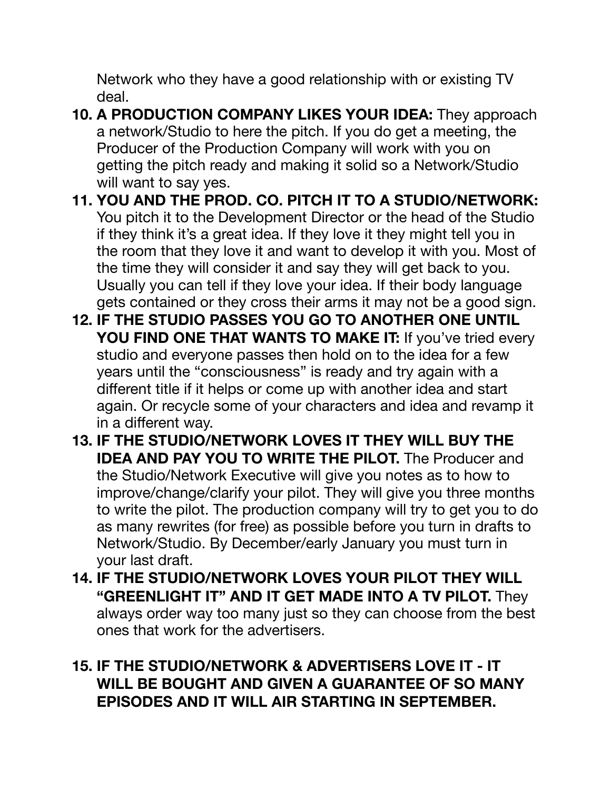Network who they have a good relationship with or existing TV deal.

- **10. A PRODUCTION COMPANY LIKES YOUR IDEA:** They approach a network/Studio to here the pitch. If you do get a meeting, the Producer of the Production Company will work with you on getting the pitch ready and making it solid so a Network/Studio will want to say yes.
- **11. YOU AND THE PROD. CO. PITCH IT TO A STUDIO/NETWORK:**  You pitch it to the Development Director or the head of the Studio if they think it's a great idea. If they love it they might tell you in the room that they love it and want to develop it with you. Most of the time they will consider it and say they will get back to you. Usually you can tell if they love your idea. If their body language gets contained or they cross their arms it may not be a good sign.
- **12. IF THE STUDIO PASSES YOU GO TO ANOTHER ONE UNTIL YOU FIND ONE THAT WANTS TO MAKE IT:** If you've tried every studio and everyone passes then hold on to the idea for a few years until the "consciousness" is ready and try again with a different title if it helps or come up with another idea and start again. Or recycle some of your characters and idea and revamp it in a different way.
- **13. IF THE STUDIO/NETWORK LOVES IT THEY WILL BUY THE IDEA AND PAY YOU TO WRITE THE PILOT.** The Producer and the Studio/Network Executive will give you notes as to how to improve/change/clarify your pilot. They will give you three months to write the pilot. The production company will try to get you to do as many rewrites (for free) as possible before you turn in drafts to Network/Studio. By December/early January you must turn in your last draft.
- **14. IF THE STUDIO/NETWORK LOVES YOUR PILOT THEY WILL "GREENLIGHT IT" AND IT GET MADE INTO A TV PILOT.** They always order way too many just so they can choose from the best ones that work for the advertisers.

## **15. IF THE STUDIO/NETWORK & ADVERTISERS LOVE IT - IT WILL BE BOUGHT AND GIVEN A GUARANTEE OF SO MANY EPISODES AND IT WILL AIR STARTING IN SEPTEMBER.**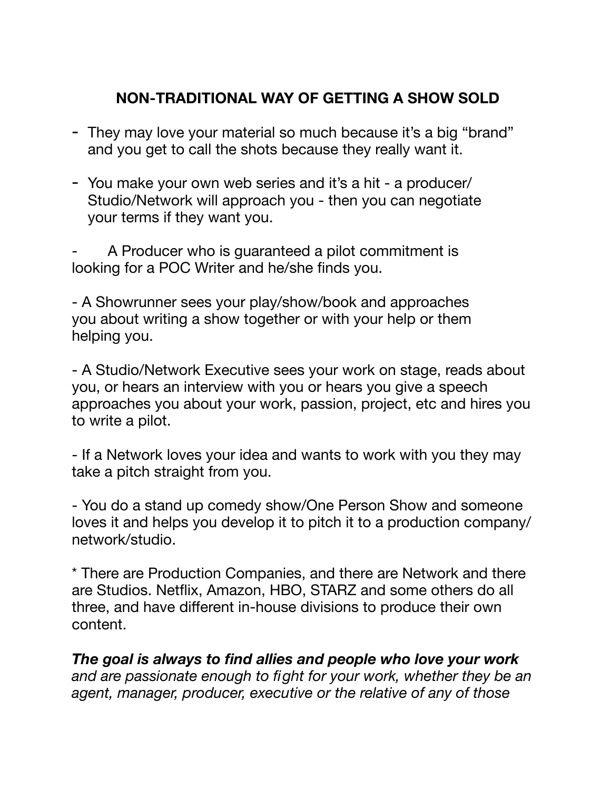#### **NON-TRADITIONAL WAY OF GETTING A SHOW SOLD**

- They may love your material so much because it's a big "brand" and you get to call the shots because they really want it.
- You make your own web series and it's a hit a producer/ Studio/Network will approach you - then you can negotiate your terms if they want you.

A Producer who is guaranteed a pilot commitment is looking for a POC Writer and he/she finds you.

- A Showrunner sees your play/show/book and approaches you about writing a show together or with your help or them helping you.

- A Studio/Network Executive sees your work on stage, reads about you, or hears an interview with you or hears you give a speech approaches you about your work, passion, project, etc and hires you to write a pilot.

- If a Network loves your idea and wants to work with you they may take a pitch straight from you.

- You do a stand up comedy show/One Person Show and someone loves it and helps you develop it to pitch it to a production company/ network/studio.

\* There are Production Companies, and there are Network and there are Studios. Netflix, Amazon, HBO, STARZ and some others do all three, and have different in-house divisions to produce their own content.

*The goal is always to find allies and people who love your work and are passionate enough to fight for your work, whether they be an agent, manager, producer, executive or the relative of any of those*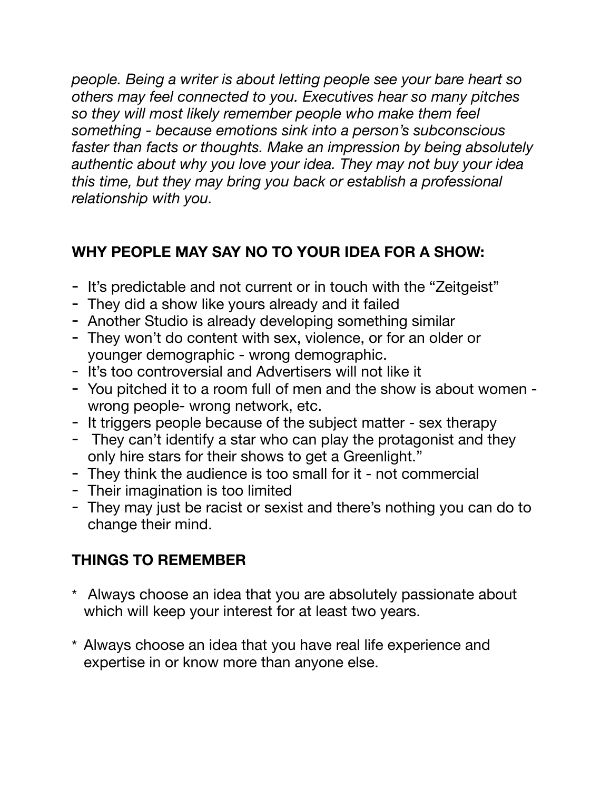*people. Being a writer is about letting people see your bare heart so others may feel connected to you. Executives hear so many pitches so they will most likely remember people who make them feel something - because emotions sink into a person's subconscious faster than facts or thoughts. Make an impression by being absolutely authentic about why you love your idea. They may not buy your idea this time, but they may bring you back or establish a professional relationship with you.* 

# **WHY PEOPLE MAY SAY NO TO YOUR IDEA FOR A SHOW:**

- It's predictable and not current or in touch with the "Zeitgeist"
- They did a show like yours already and it failed
- Another Studio is already developing something similar
- They won't do content with sex, violence, or for an older or younger demographic - wrong demographic.
- It's too controversial and Advertisers will not like it
- You pitched it to a room full of men and the show is about women wrong people- wrong network, etc.
- It triggers people because of the subject matter sex therapy
- They can't identify a star who can play the protagonist and they only hire stars for their shows to get a Greenlight."
- They think the audience is too small for it not commercial
- Their imagination is too limited
- They may just be racist or sexist and there's nothing you can do to change their mind.

## **THINGS TO REMEMBER**

- \* Always choose an idea that you are absolutely passionate about which will keep your interest for at least two years.
- \* Always choose an idea that you have real life experience and expertise in or know more than anyone else.